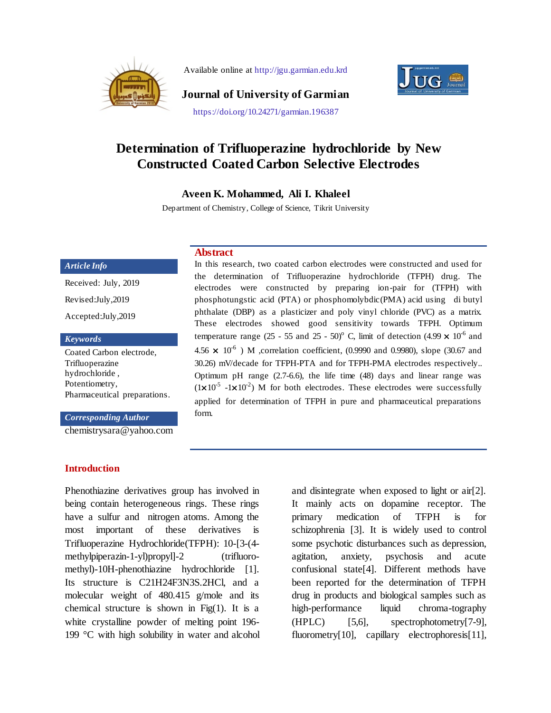

Available online at http://jgu.garmian.edu.krd



**Journal of University of Garmian**

#### https://doi.org/10.24271/garmian.196387

# **Determination of Trifluoperazine hydrochloride by New Constructed Coated Carbon Selective Electrodes**

**Aveen K. Mohammed, Ali I. Khaleel**

Department of Chemistry, College of Science, Tikrit University

#### *Article Info*

Received: July, 2019 Revised:July,2019 Accepted:July,2019

#### *Keywords*

Coated Carbon electrode, Trifluoperazine hydrochloride , Potentiometry, Pharmaceutical preparations.

#### *Corresponding Author*

[chemistrysara@yahoo.com](mailto:ayad.palani@garmian.edu.krd)

## **Introduction**

Phenothiazine derivatives group has involved in being contain heterogeneous rings. These rings have a sulfur and nitrogen atoms. Among the most important of these derivatives is Trifluoperazine Hydrochloride(TFPH): 10-[3-(4 methylpiperazin-1-yl)propyl]-2 (trifluoromethyl)-10H-phenothiazine hydrochloride [1]. Its structure is C21H24F3N3S.2HCl, and a molecular weight of 480.415 g/mole and its chemical structure is shown in Fig $(1)$ . It is a white crystalline powder of melting point 196- 199 °C with high solubility in water and alcohol

**Abstract**

In this research, two coated carbon electrodes were constructed and used for the determination of Trifluoperazine hydrochloride (TFPH) drug. The electrodes were constructed by preparing ion-pair for (TFPH) with phosphotungstic acid (PTA) or phosphomolybdic(PMA) acid using di butyl phthalate (DBP) as a plasticizer and poly vinyl chloride (PVC) as a matrix. These electrodes showed good sensitivity towards TFPH. Optimum temperature range (25 - 55 and 25 - 50)<sup>o</sup> C, limit of detection (4.99  $\times$  10<sup>-6</sup> and 4.56  $\times$  10<sup>-6</sup>) M ,correlation coefficient, (0.9990 and 0.9980), slope (30.67 and 30.26) mV/decade for TFPH-PTA and for TFPH-PMA electrodes respectively.. Optimum pH range (2.7-6.6), the life time (48) days and linear range was  $(1 \times 10^{-5} - 1 \times 10^{-2})$  M for both electrodes. These electrodes were successfully applied for determination of TFPH in pure and pharmaceutical preparations form.

> and disintegrate when exposed to light or air[2]. It mainly acts on dopamine receptor. The primary medication of TFPH is for schizophrenia [3]. It is widely used to control some psychotic disturbances such as depression, agitation, anxiety, psychosis and acute confusional state[4]. Different methods have been reported for the determination of TFPH drug in products and biological samples such as high-performance liquid chroma-tography (HPLC) [5,6], spectrophotometry[7-9], fluorometry[10], capillary electrophoresis[11],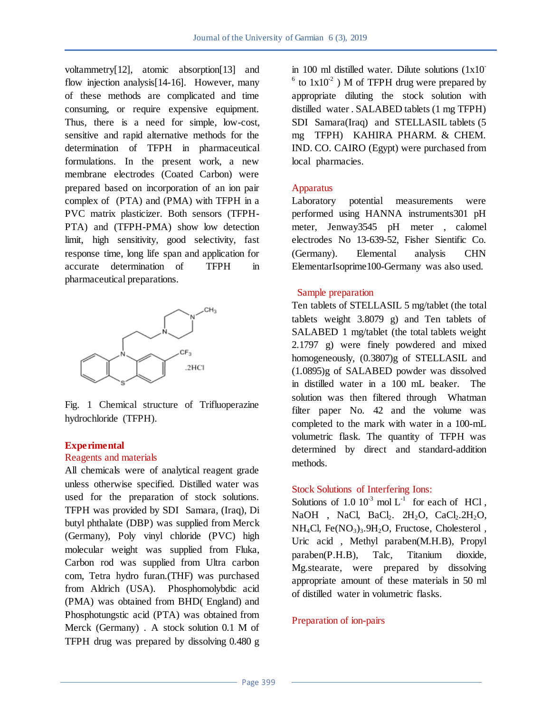voltammetry[12], atomic absorption[13] and flow injection analysis[14-16]. However, many of these methods are complicated and time consuming, or require expensive equipment. Thus, there is a need for simple, low-cost, sensitive and rapid alternative methods for the determination of TFPH in pharmaceutical formulations. In the present work, a new membrane electrodes (Coated Carbon) were prepared based on incorporation of an ion pair complex of (PTA) and (PMA) with TFPH in a PVC matrix plasticizer. Both sensors (TFPH-PTA) and (TFPH-PMA) show low detection limit, high sensitivity, good selectivity, fast response time, long life span and application for accurate determination of TFPH in pharmaceutical preparations.



Fig. 1 Chemical structure of Trifluoperazine hydrochloride (TFPH).

## **Experimental**

#### Reagents and materials

All chemicals were of analytical reagent grade unless otherwise specified. Distilled water was used for the preparation of stock solutions. TFPH was provided by SDI Samara, (Iraq), Di butyl phthalate (DBP) was supplied from Merck (Germany), Poly vinyl chloride (PVC) high molecular weight was supplied from Fluka, Carbon rod was supplied from Ultra carbon com, Tetra hydro furan.(THF) was purchased from Aldrich (USA). Phosphomolybdic acid (PMA) was obtained from BHD( England) and Phosphotungstic acid (PTA) was obtained from Merck (Germany) . A stock solution 0.1 M of TFPH drug was prepared by dissolving 0.480 g

in 100 ml distilled water. Dilute solutions (1x10-  $6$  to  $1x10^2$ ) M of TFPH drug were prepared by appropriate diluting the stock solution with distilled water . SALABED tablets (1 mg TFPH) SDI Samara(Iraq) and STELLASIL tablets (5 mg TFPH) KAHIRA PHARM. & CHEM. IND. CO. CAIRO (Egypt) were purchased from local pharmacies.

# Apparatus

Laboratory potential measurements were performed using HANNA instruments301 pH meter, Jenway3545 pH meter , calomel electrodes No 13-639-52, Fisher Sientific Co. (Germany). Elemental analysis CHN ElementarIsoprime100-Germany was also used.

# Sample preparation

Ten tablets of STELLASIL 5 mg/tablet (the total tablets weight 3.8079 g) and Ten tablets of SALABED 1 mg/tablet (the total tablets weight 2.1797 g) were finely powdered and mixed homogeneously, (0.3807)g of STELLASIL and (1.0895)g of SALABED powder was dissolved in distilled water in a 100 mL beaker. The solution was then filtered through Whatman filter paper No. 42 and the volume was completed to the mark with water in a 100-mL volumetric flask. The quantity of TFPH was determined by direct and standard-addition methods.

# Stock Solutions of Interfering Ions:

Solutions of  $1.0 \times 10^{-3}$  mol L<sup>-1</sup> for each of HCl, NaOH , NaCl, BaCl<sub>2</sub>.  $2H_2O$ , CaCl<sub>2</sub>.2H<sub>2</sub>O,  $NH<sub>4</sub>Cl$ , Fe $(NO<sub>3</sub>)<sub>3</sub>$ .9H<sub>2</sub>O, Fructose, Cholesterol, Uric acid , Methyl paraben(M.H.B), Propyl paraben(P.H.B), Talc, Titanium dioxide, Mg.stearate, were prepared by dissolving appropriate amount of these materials in 50 ml of distilled water in volumetric flasks.

# Preparation of ion-pairs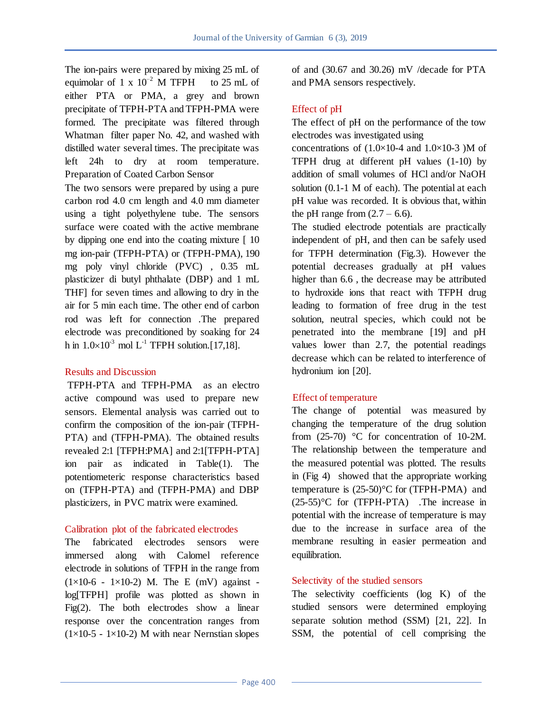The ion-pairs were prepared by mixing 25 mL of equimolar of 1 x  $10^{-2}$  M TFPH to 25 mL of either PTA or PMA, a grey and brown precipitate of TFPH-PTA and TFPH-PMA were formed. The precipitate was filtered through Whatman filter paper No. 42, and washed with distilled water several times. The precipitate was left 24h to dry at room temperature. Preparation of Coated Carbon Sensor

The two sensors were prepared by using a pure carbon rod 4.0 cm length and 4.0 mm diameter using a tight polyethylene tube. The sensors surface were coated with the active membrane by dipping one end into the coating mixture [ 10 mg ion-pair (TFPH-PTA) or (TFPH-PMA), 190 mg poly vinyl chloride (PVC) , 0.35 mL plasticizer di butyl phthalate (DBP) and 1 mL THF] for seven times and allowing to dry in the air for 5 min each time. The other end of carbon rod was left for connection .The prepared electrode was preconditioned by soaking for 24 h in  $1.0\times10^{-3}$  mol L<sup>-1</sup> TFPH solution.[17,18].

## Results and Discussion

TFPH-PTA and TFPH-PMA as an electro active compound was used to prepare new sensors. Elemental analysis was carried out to confirm the composition of the ion-pair (TFPH-PTA) and (TFPH-PMA). The obtained results revealed 2:1 [TFPH:PMA] and 2:1[TFPH-PTA] ion pair as indicated in Table(1). The potentiometeric response characteristics based on (TFPH-PTA) and (TFPH-PMA) and DBP plasticizers, in PVC matrix were examined.

# Calibration plot of the fabricated electrodes

The fabricated electrodes sensors were immersed along with Calomel reference electrode in solutions of TFPH in the range from  $(1 \times 10^{-6} - 1 \times 10^{-2})$  M. The E (mV) against log[TFPH] profile was plotted as shown in Fig(2). The both electrodes show a linear response over the concentration ranges from  $(1\times10-5 - 1\times10-2)$  M with near Nernstian slopes

of and (30.67 and 30.26) mV /decade for PTA and PMA sensors respectively.

# Effect of pH

The effect of pH on the performance of the tow electrodes was investigated using

concentrations of  $(1.0\times10-4$  and  $1.0\times10-3$  )M of TFPH drug at different pH values (1-10) by addition of small volumes of HCl and/or NaOH solution (0.1-1 M of each). The potential at each pH value was recorded. It is obvious that, within the pH range from  $(2.7 - 6.6)$ .

The studied electrode potentials are practically independent of pH, and then can be safely used for TFPH determination (Fig.3). However the potential decreases gradually at pH values higher than 6.6 , the decrease may be attributed to hydroxide ions that react with TFPH drug leading to formation of free drug in the test solution, neutral species, which could not be penetrated into the membrane [19] and pH values lower than 2.7, the potential readings decrease which can be related to interference of hydronium ion [20].

# Effect of temperature

The change of potential was measured by changing the temperature of the drug solution from  $(25-70)$  °C for concentration of 10-2M. The relationship between the temperature and the measured potential was plotted. The results in (Fig 4) showed that the appropriate working temperature is (25-50)°C for (TFPH-PMA) and  $(25-55)$ °C for (TFPH-PTA) .The increase in potential with the increase of temperature is may due to the increase in surface area of the membrane resulting in easier permeation and equilibration.

# Selectivity of the studied sensors

The selectivity coefficients (log K) of the studied sensors were determined employing separate solution method (SSM) [21, 22]. In SSM, the potential of cell comprising the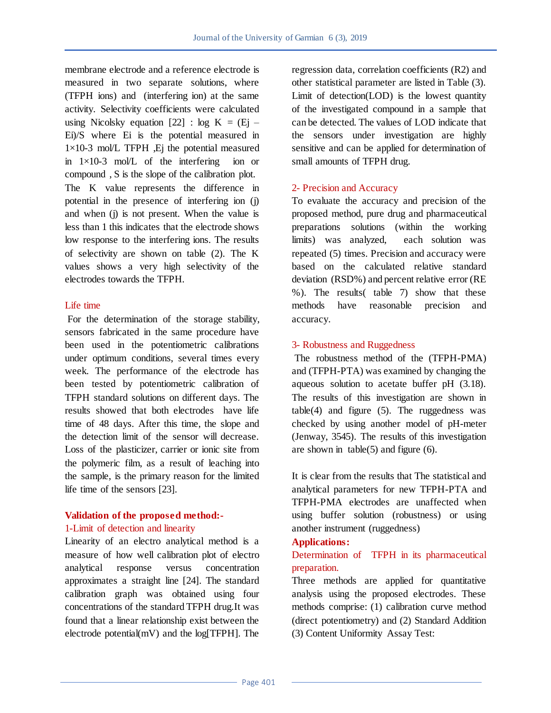membrane electrode and a reference electrode is measured in two separate solutions, where (TFPH ions) and (interfering ion) at the same activity. Selectivity coefficients were calculated using Nicolsky equation  $[22]$  : log K =  $(Ej -$ Ei)/S where Ei is the potential measured in  $1\times10-3$  mol/L TFPH , Ej the potential measured in 1×10-3 mol/L of the interfering ion or compound , S is the slope of the calibration plot. The K value represents the difference in potential in the presence of interfering ion (j) and when (j) is not present. When the value is less than 1 this indicates that the electrode shows low response to the interfering ions. The results of selectivity are shown on table (2). The K values shows a very high selectivity of the electrodes towards the TFPH.

# Life time

For the determination of the storage stability, sensors fabricated in the same procedure have been used in the potentiometric calibrations under optimum conditions, several times every week. The performance of the electrode has been tested by potentiometric calibration of TFPH standard solutions on different days. The results showed that both electrodes have life time of 48 days. After this time, the slope and the detection limit of the sensor will decrease. Loss of the plasticizer, carrier or ionic site from the polymeric film, as a result of leaching into the sample, is the primary reason for the limited life time of the sensors [23].

# **Validation of the proposed method:-**

## 1-Limit of detection and linearity

Linearity of an electro analytical method is a measure of how well calibration plot of electro analytical response versus concentration approximates a straight line [24]. The standard calibration graph was obtained using four concentrations of the standard TFPH drug.It was found that a linear relationship exist between the electrode potential(mV) and the log[TFPH]. The

regression data, correlation coefficients (R2) and other statistical parameter are listed in Table (3). Limit of detection(LOD) is the lowest quantity of the investigated compound in a sample that can be detected. The values of LOD indicate that the sensors under investigation are highly sensitive and can be applied for determination of small amounts of TFPH drug.

# 2- Precision and Accuracy

To evaluate the accuracy and precision of the proposed method, pure drug and pharmaceutical preparations solutions (within the working limits) was analyzed, each solution was repeated (5) times. Precision and accuracy were based on the calculated relative standard deviation (RSD%) and percent relative error (RE %). The results( table 7) show that these methods have reasonable precision and accuracy.

# 3- Robustness and Ruggedness

The robustness method of the (TFPH-PMA) and (TFPH-PTA) was examined by changing the aqueous solution to acetate buffer pH (3.18). The results of this investigation are shown in  $table(4)$  and figure (5). The ruggedness was checked by using another model of pH-meter (Jenway, 3545). The results of this investigation are shown in table(5) and figure (6).

It is clear from the results that The statistical and analytical parameters for new TFPH-PTA and TFPH-PMA electrodes are unaffected when using buffer solution (robustness) or using another instrument (ruggedness)

## **Applications:**

# Determination of TFPH in its pharmaceutical preparation.

Three methods are applied for quantitative analysis using the proposed electrodes. These methods comprise: (1) calibration curve method (direct potentiometry) and (2) Standard Addition (3) Content Uniformity Assay Test: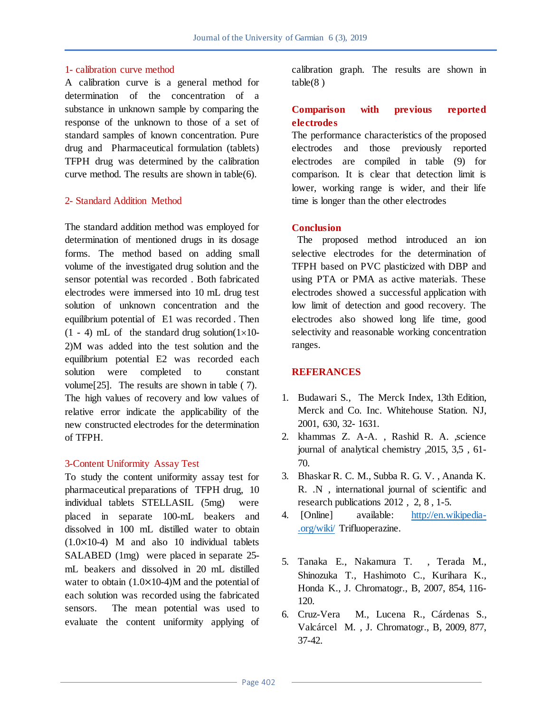#### 1- calibration curve method

A calibration curve is a general method for determination of the concentration of a substance in unknown sample by comparing the response of the unknown to those of a set of standard samples of known concentration. Pure drug and Pharmaceutical formulation (tablets) TFPH drug was determined by the calibration curve method. The results are shown in table(6).

#### 2- Standard Addition Method

The standard addition method was employed for determination of mentioned drugs in its dosage forms. The method based on adding small volume of the investigated drug solution and the sensor potential was recorded . Both fabricated electrodes were immersed into 10 mL drug test solution of unknown concentration and the equilibrium potential of E1 was recorded . Then  $(1 - 4)$  mL of the standard drug solution $(1 \times 10^{-10})$ 2)M was added into the test solution and the equilibrium potential E2 was recorded each solution were completed to constant volume[25]. The results are shown in table ( 7). The high values of recovery and low values of relative error indicate the applicability of the new constructed electrodes for the determination of TFPH.

#### 3-Content Uniformity Assay Test

To study the content uniformity assay test for pharmaceutical preparations of TFPH drug, 10 individual tablets STELLASIL (5mg) were placed in separate 100-mL beakers and dissolved in 100 mL distilled water to obtain  $(1.0 \times 10^{-4})$  M and also 10 individual tablets SALABED (1mg) were placed in separate 25 mL beakers and dissolved in 20 mL distilled water to obtain  $(1.0 \times 10^{-4})$ M and the potential of each solution was recorded using the fabricated sensors. The mean potential was used to evaluate the content uniformity applying of

calibration graph. The results are shown in  $table(8)$ 

# **Comparison with previous reported electrodes**

The performance characteristics of the proposed electrodes and those previously reported electrodes are compiled in table (9) for comparison. It is clear that detection limit is lower, working range is wider, and their life time is longer than the other electrodes

## **Conclusion**

 The proposed method introduced an ion selective electrodes for the determination of TFPH based on PVC plasticized with DBP and using PTA or PMA as active materials. These electrodes showed a successful application with low limit of detection and good recovery. The electrodes also showed long life time, good selectivity and reasonable working concentration ranges.

## **REFERANCES**

- 1. Budawari S., The Merck Index, 13th Edition, Merck and Co. Inc. Whitehouse Station. NJ, 2001, 630, 32- 1631.
- 2. khammas Z. A-A. , Rashid R. A. ,science journal of analytical chemistry ,2015, 3,5 , 61- 70.
- 3. Bhaskar R. C. M., Subba R. G. V. , Ananda K. R. .N , international journal of scientific and research publications 2012 , 2, 8 , 1-5.
- 4. [Online] available: [http://en.wikipedia-](http://en.wikipedia-.org/wiki/) [.org/wiki/](http://en.wikipedia-.org/wiki/) Trifluoperazine.
- 5. Tanaka E., Nakamura T. , Terada M., Shinozuka T., Hashimoto C., Kurihara K., Honda K., J. Chromatogr., B, 2007, 854, 116- 120.
- 6. Cruz-Vera M., Lucena R., Cárdenas S., Valcárcel M. , J. Chromatogr., B, 2009, 877, 37-42.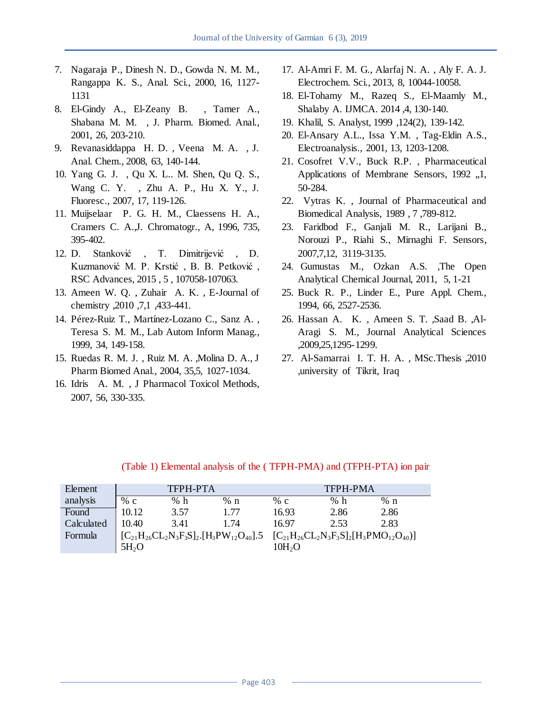- 7. Nagaraja P., Dinesh N. D., Gowda N. M. M., Rangappa K. S., Anal. Sci., 2000, 16, 1127- 1131
- 8. El-Gindy A., El-Zeany B. , Tamer A., Shabana M. M. , J. Pharm. Biomed. Anal., 2001, 26, 203-210.
- 9. Revanasiddappa H. D. , Veena M. A. , J. Anal. Chem., 2008, 63, 140-144.
- 10. Yang G. J. , Qu X. L.. M. Shen, Qu Q. S., Wang C. Y. , Zhu A. P., Hu X. Y., J. Fluoresc., 2007, 17, 119-126.
- 11. Muijselaar P. G. H. M., Claessens H. A., Cramers C. A.,J. Chromatogr., A, 1996, 735, 395-402.
- 12. D. Stanković , T. Dimitrijević , D. Kuzmanović M. P. Krstić , B. B. Petković , RSC Advances, 2015 , 5 , 107058-107063.
- 13. Ameen W. Q. , Zuhair A. K. , E-Journal of chemistry ,2010 ,7,1 ,433-441.
- 14. Pérez-Ruiz T., Martínez-Lozano C., Sanz A. , Teresa S. M. M., Lab Autom Inform Manag., 1999, 34, 149-158.
- 15. Ruedas R. M. J. , Ruiz M. A. ,Molina D. A., J Pharm Biomed Anal., 2004, 35,5, 1027-1034.
- 16. Idris A. M. , J Pharmacol Toxicol Methods, 2007, 56, 330-335.
- 17. Al-Amri F. M. G., Alarfaj N. A. , Aly F. A. J. Electrochem. Sci., 2013, 8, 10044-10058.
- 18. El-Tohamy M., Razeq S., El-Maamly M., Shalaby A. IJMCA. 2014 ,4, 130-140.
- 19. Khalil, S. Analyst, 1999 ,124(2), 139-142.
- 20. El-Ansary A.L., Issa Y.M. , Tag-Eldin A.S., Electroanalysis., 2001, 13, 1203-1208.
- 21. Cosofret V.V., Buck R.P. , Pharmaceutical Applications of Membrane Sensors, 1992 ...1, 50-284.
- 22. Vytras K. , Journal of Pharmaceutical and Biomedical Analysis, 1989 , 7 ,789-812.
- 23. Faridbod F., Ganjali M. R., Larijani B., Norouzi P., Riahi S., Mirnaghi F. Sensors, 2007,7,12, 3119-3135.
- 24. Gumustas M., Ozkan A.S. ,The Open Analytical Chemical Journal, 2011, 5, 1-21
- 25. Buck R. P., Linder E., Pure Appl. Chem., 1994, 66, 2527-2536.
- 26. Hassan A. K. , Ameen S. T. ,Saad B. ,Al-Aragi S. M., Journal Analytical Sciences ,2009,25,1295-1299.
- 27. Al-Samarrai I. T. H. A. , MSc.Thesis ,2010 ,university of Tikrit, Iraq

| Element    |                   | TFPH-PTA |                                                                                                      |                    | <b>TFPH-PMA</b> |       |  |
|------------|-------------------|----------|------------------------------------------------------------------------------------------------------|--------------------|-----------------|-------|--|
| analysis   | % c               | % $h$    | % n                                                                                                  | % c                | % h             | $%$ n |  |
| Found      | 10.12             | 3.57     | 1.77                                                                                                 | 16.93              | 2.86            | 2.86  |  |
| Calculated | 10.40             | 3.41     | 1.74                                                                                                 | 16.97              | 2.53            | 2.83  |  |
| Formula    |                   |          | $[C_{21}H_{26}CL_2N_3F_3S]_2.[H_3PW_{12}O_{40}].5$ $[C_{21}H_{26}CL_2N_3F_3S]_2[H_3PMO_{12}O_{40}]]$ |                    |                 |       |  |
|            | 5H <sub>2</sub> O |          |                                                                                                      | 10H <sub>2</sub> O |                 |       |  |

#### (Table 1) Elemental analysis of the ( TFPH-PMA) and (TFPH-PTA) ion pair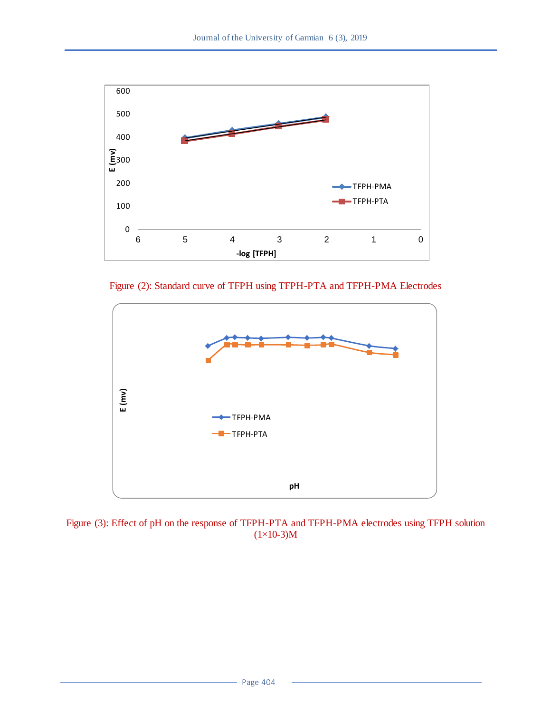

Figure (2): Standard curve of TFPH using TFPH-PTA and TFPH-PMA Electrodes



Figure (3): Effect of pH on the response of TFPH-PTA and TFPH-PMA electrodes using TFPH solution  $(1\times10-3)M$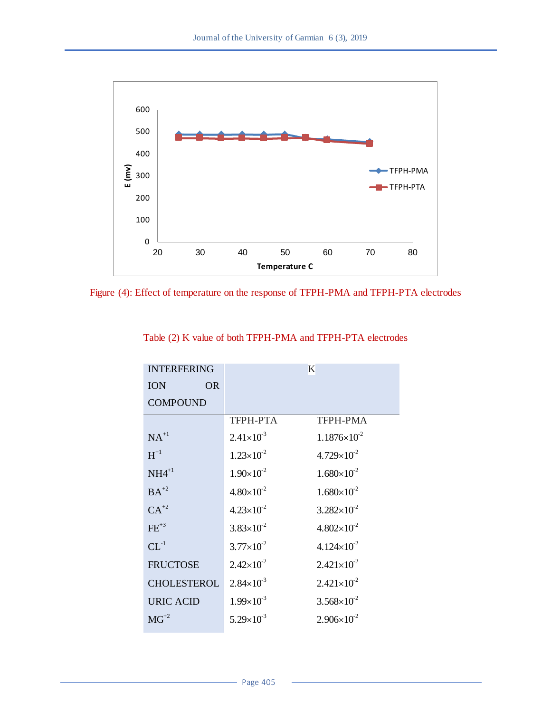

Figure (4): Effect of temperature on the response of TFPH-PMA and TFPH-PTA electrodes

| <b>INTERFERING</b> |                       | K                      |
|--------------------|-----------------------|------------------------|
| <b>ION</b><br>OR.  |                       |                        |
| <b>COMPOUND</b>    |                       |                        |
|                    | <b>TFPH-PTA</b>       | <b>TFPH-PMA</b>        |
| $NA^{+1}$          | $2.41 \times 10^{-3}$ | $1.1876\times10^{2}$   |
| $H^{+1}$           | $1.23\times10^{2}$    | $4.729 \times 10^{-2}$ |
| $NH4^{+1}$         | $1.90\times10^{2}$    | $1.680\times10^{-2}$   |
| $BA^{+2}$          | $4.80\times10^{-2}$   | $1.680\times10^{-2}$   |
| $CA^{+2}$          | $4.23 \times 10^{-2}$ | $3.282\times10^{-2}$   |
| $FE+3$             | $3.83 \times 10^{-2}$ | $4.802\times10^{-2}$   |
| $CL^{-1}$          | $3.77\times10^{2}$    | $4.124 \times 10^{-2}$ |
| <b>FRUCTOSE</b>    | $2.42 \times 10^{-2}$ | $2.421\times10^{-2}$   |
| <b>CHOLESTEROL</b> | $2.84 \times 10^{-3}$ | $2.421 \times 10^{-2}$ |
| <b>URIC ACID</b>   | $1.99\times10^{-3}$   | $3.568 \times 10^{-2}$ |
| $MG+2$             | $5.29 \times 10^{-3}$ | $2.906 \times 10^{-2}$ |
|                    |                       |                        |

# Table (2) K value of both TFPH-PMA and TFPH-PTA electrodes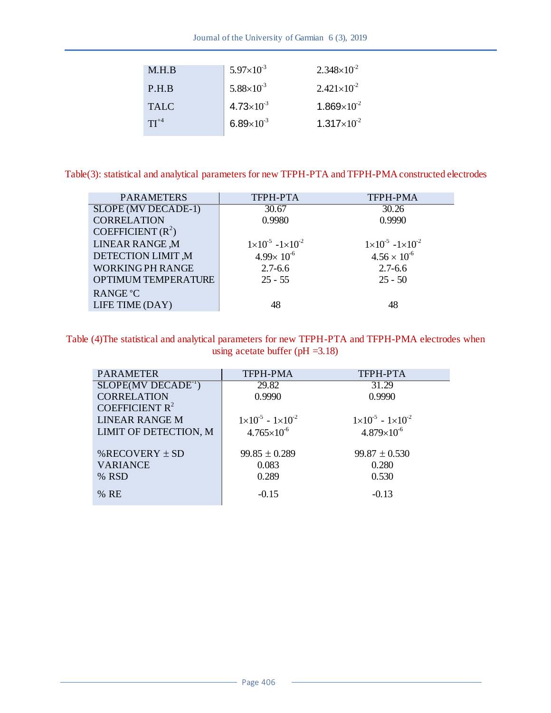| M.H.B       | $5.97\times10^{3}$    | $2.348\times10^{2}$  |
|-------------|-----------------------|----------------------|
| P.H.B       | $5.88 \times 10^{-3}$ | $2.421\times10^{-2}$ |
| <b>TALC</b> | $4.73 \times 10^{-3}$ | $1.869\times10^{2}$  |
| $TI^{+4}$   | $6.89\times10^{-3}$   | $1.317\times10^{2}$  |
|             |                       |                      |

Table(3): statistical and analytical parameters for new TFPH-PTA and TFPH-PMA constructed electrodes

| <b>PARAMETERS</b>          | TFPH-PTA                               | <b>TFPH-PMA</b>                        |
|----------------------------|----------------------------------------|----------------------------------------|
| <b>SLOPE (MV DECADE-1)</b> | 30.67                                  | 30.26                                  |
| <b>CORRELATION</b>         | 0.9980                                 | 0.9990                                 |
| COEFFICIENT $(R^2)$        |                                        |                                        |
| <b>LINEAR RANGE ,M</b>     | $1 \times 10^{-5}$ -1×10 <sup>-2</sup> | $1 \times 10^{-5}$ -1×10 <sup>-2</sup> |
| <b>DETECTION LIMIT ,M</b>  | $4.99 \times 10^{-6}$                  | $4.56 \times 10^{-6}$                  |
| WORKING PH RANGE           | $2.7 - 6.6$                            | $2.7 - 6.6$                            |
| OPTIMUM TEMPERATURE        | $25 - 55$                              | $25 - 50$                              |
| RANGE °C                   |                                        |                                        |
| LIFE TIME (DAY)            | 48                                     | 48                                     |
|                            |                                        |                                        |

# Table (4)The statistical and analytical parameters for new TFPH-PTA and TFPH-PMA electrodes when using acetate buffer ( $pH = 3.18$ )

| <b>PARAMETER</b>      | <b>TFPH-PMA</b>                     | ТЕРН-РТА                            |
|-----------------------|-------------------------------------|-------------------------------------|
| $SLOPE(MV DECADE-1)$  | 29.82                               | 31.29                               |
| <b>CORRELATION</b>    | 0.9990                              | 0.9990                              |
| COEFFICIENT $R^2$     |                                     |                                     |
| <b>LINEAR RANGE M</b> | $1\times10^{-5}$ - $1\times10^{-2}$ | $1\times10^{-5}$ - $1\times10^{-2}$ |
| LIMIT OF DETECTION, M | $4.765 \times 10^{-6}$              | $4.879\times10^{-6}$                |
|                       |                                     |                                     |
| % RECOVERY $\pm$ SD   | $99.85 \pm 0.289$                   | $99.87 \pm 0.530$                   |
| <b>VARIANCE</b>       | 0.083                               | 0.280                               |
| % RSD                 | 0.289                               | 0.530                               |
| % RE                  | $-0.15$                             | $-0.13$                             |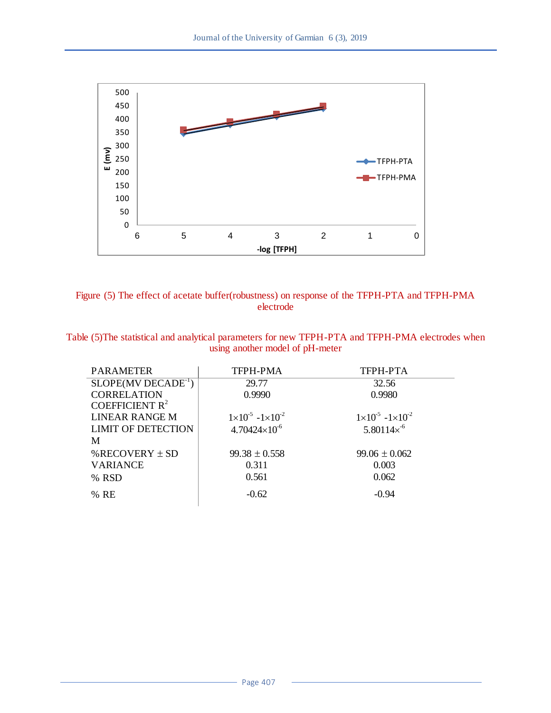

Figure (5) The effect of acetate buffer(robustness) on response of the TFPH-PTA and TFPH-PMA electrode

| Table (5) The statistical and analytical parameters for new TFPH-PTA and TFPH-PMA electrodes when |  |
|---------------------------------------------------------------------------------------------------|--|
| using another model of pH-meter                                                                   |  |

| <b>PARAMETER</b>          | TFPH-PMA                               | TFPH-PTA                               |
|---------------------------|----------------------------------------|----------------------------------------|
| $SLOPE(MV DECADE^{-1})$   | 29.77                                  | 32.56                                  |
| <b>CORRELATION</b>        | 0.9990                                 | 0.9980                                 |
| COEFFICIENT $R^2$         |                                        |                                        |
| <b>LINEAR RANGE M</b>     | $1 \times 10^{-5}$ -1×10 <sup>-2</sup> | $1 \times 10^{-5}$ -1×10 <sup>-2</sup> |
| <b>LIMIT OF DETECTION</b> | $4.70424\times10^{-6}$                 | $5.80114 \times ^{6}$                  |
| M                         |                                        |                                        |
| % RECOVERY $\pm$ SD       | $99.38 \pm 0.558$                      | $99.06 \pm 0.062$                      |
| <b>VARIANCE</b>           | 0.311                                  | 0.003                                  |
| % RSD                     | 0.561                                  | 0.062                                  |
| % RE                      | $-0.62$                                | $-0.94$                                |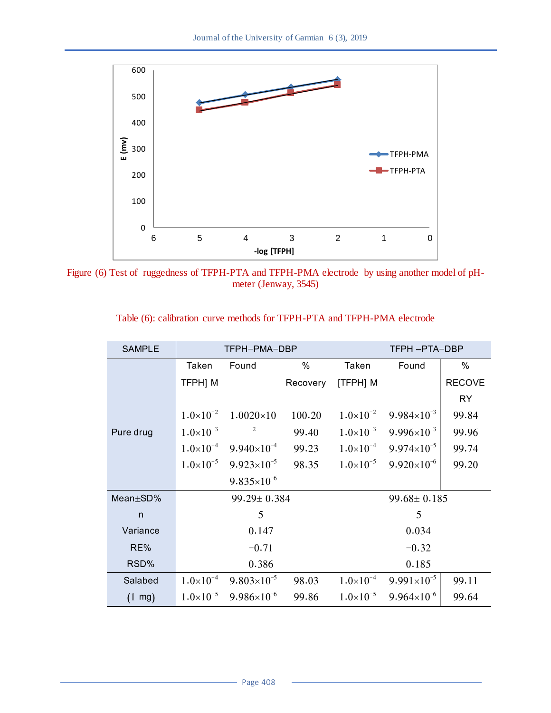

Figure (6) Test of ruggedness of TFPH-PTA and TFPH-PMA electrode by using another model of pHmeter (Jenway, 3545)

| <b>SAMPLE</b>    | TFPH-PMA-DBP       |                        |          |                    | TFPH -PTA-DBP          |               |
|------------------|--------------------|------------------------|----------|--------------------|------------------------|---------------|
|                  | Taken              | Found                  | %        | Taken              | Found                  | $\%$          |
|                  | TFPH] M            |                        | Recovery | [TFPH] M           |                        | <b>RECOVE</b> |
|                  |                    |                        |          |                    |                        | <b>RY</b>     |
|                  | $1.0\times10^{-2}$ | $1.0020\times10$       | 100.20   | $1.0\times10^{-2}$ | $9.984\times10^{-3}$   | 99.84         |
| Pure drug        | $1.0\times10^{-3}$ | $-2$                   | 99.40    | $1.0\times10^{-3}$ | $9.996 \times 10^{-3}$ | 99.96         |
|                  | $1.0\times10^{-4}$ | $9.940\times10^{-4}$   | 99.23    | $1.0\times10^{-4}$ | $9.974 \times 10^{-5}$ | 99.74         |
|                  | $1.0\times10^{-5}$ | $9.923\times10^{-5}$   | 98.35    | $1.0\times10^{-5}$ | $9.920\times10^{-6}$   | 99.20         |
|                  |                    | $9.835 \times 10^{-6}$ |          |                    |                        |               |
| Mean±SD%         |                    | 99.29± 0.384           |          |                    | $99.68 \pm 0.185$      |               |
| n                |                    | 5                      |          |                    | 5                      |               |
| Variance         |                    | 0.147                  |          |                    | 0.034                  |               |
| RE%              |                    | $-0.71$                |          |                    | $-0.32$                |               |
| RSD%             |                    | 0.386                  |          |                    | 0.185                  |               |
| Salabed          | $1.0\times10^{-4}$ | $9.803\times10^{-5}$   | 98.03    | $1.0\times10^{-4}$ | $9.991 \times 10^{-5}$ | 99.11         |
| $(1 \text{ mg})$ | $1.0\times10^{-5}$ | $9.986 \times 10^{-6}$ | 99.86    | $1.0\times10^{-5}$ | $9.964\times10^{-6}$   | 99.64         |

# Table (6): calibration curve methods for TFPH-PTA and TFPH-PMA electrode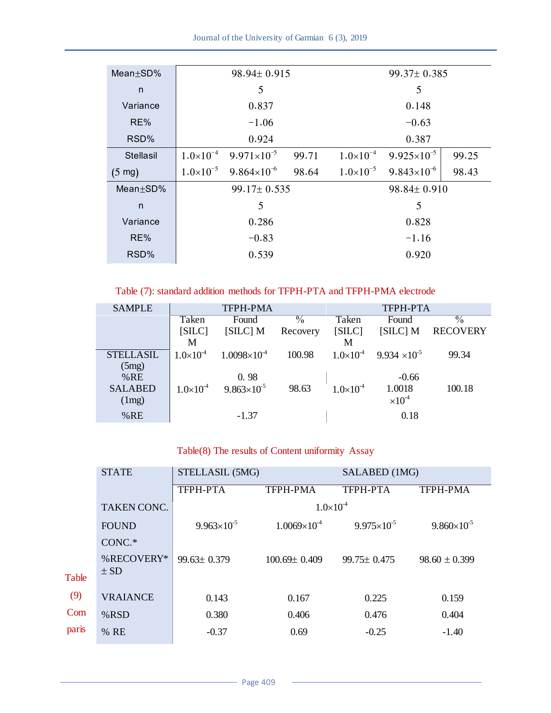| Mean $+SD\%$     | 98.94± 0.915                                      |                   |  | 99.37± 0.385       |                        |       |
|------------------|---------------------------------------------------|-------------------|--|--------------------|------------------------|-------|
| n                | 5                                                 |                   |  | 5                  |                        |       |
| Variance         | 0.837                                             |                   |  |                    | 0.148                  |       |
| RE%              | $-1.06$                                           |                   |  |                    | $-0.63$                |       |
| RSD%             | 0.924                                             |                   |  | 0.387              |                        |       |
| <b>Stellasil</b> | $1.0\times10^{-4}$ 9.971 $\times10^{-5}$<br>99.71 |                   |  | $1.0\times10^{-4}$ | $9.925 \times 10^{-5}$ | 99.25 |
| $(5 \text{ mg})$ | $1.0\times10^{-5}$ 9.864 $\times10^{-6}$<br>98.64 |                   |  | $1.0\times10^{-5}$ | $9.843\times10^{-6}$   | 98.43 |
| Mean $+SD\%$     |                                                   | $99.17 \pm 0.535$ |  | 98.84± 0.910       |                        |       |
| n                |                                                   | 5                 |  | 5                  |                        |       |
| Variance         | 0.286                                             |                   |  | 0.828              |                        |       |
| RE%              | $-0.83$                                           |                   |  | $-1.16$            |                        |       |
| RSD%             |                                                   | 0.539             |  | 0.920              |                        |       |
|                  |                                                   |                   |  |                    |                        |       |

Table (7): standard addition methods for TFPH-PTA and TFPH-PMA electrode

| <b>SAMPLE</b>    |                    | TFPH-PMA              |               |                    | <b>TFPH-PTA</b>                          |                 |
|------------------|--------------------|-----------------------|---------------|--------------------|------------------------------------------|-----------------|
|                  | Taken              | Found                 | $\frac{0}{0}$ | Taken              | Found                                    | $\frac{0}{0}$   |
|                  | [SILC]             | [SILC] M              | Recovery      | [SILC]             | [SILC] M                                 | <b>RECOVERY</b> |
|                  | M                  |                       |               | M                  |                                          |                 |
| <b>STELLASIL</b> | $1.0\times10^{-4}$ | $1.0098\times10^{-4}$ | 100.98        |                    | $1.0\times10^{-4}$ 9.934 $\times10^{-5}$ | 99.34           |
| (5mg)            |                    |                       |               |                    |                                          |                 |
| %RE              |                    | 0.98                  |               |                    | $-0.66$                                  |                 |
| <b>SALABED</b>   | $1.0\times10^{-4}$ | $9.863\times10^{-5}$  | 98.63         | $1.0\times10^{-4}$ | 1.0018                                   | 100.18          |
| (1mg)            |                    |                       |               |                    | $\times 10^{-4}$                         |                 |
| %RE              |                    | $-1.37$               |               |                    | 0.18                                     |                 |

# Table(8) The results of Content uniformity Assay

|       | <b>STATE</b>       | STELLASIL (5MG)      |                       | SALABED (1MG)          |                      |
|-------|--------------------|----------------------|-----------------------|------------------------|----------------------|
|       |                    | <b>TFPH-PTA</b>      | <b>TFPH-PMA</b>       | <b>TFPH-PTA</b>        | <b>TFPH-PMA</b>      |
|       | <b>TAKEN CONC.</b> |                      | $1.0\times10^{-4}$    |                        |                      |
|       | <b>FOUND</b>       | $9.963\times10^{-5}$ | $1.0069\times10^{-4}$ | $9.975 \times 10^{-5}$ | $9.860\times10^{-5}$ |
|       | CONC.*             |                      |                       |                        |                      |
|       | %RECOVERY*         | $99.63 \pm 0.379$    | $100.69 \pm 0.409$    | $99.75 \pm 0.475$      | $98.60 \pm 0.399$    |
| Table | $\pm$ SD           |                      |                       |                        |                      |
| (9)   | <b>VRAIANCE</b>    | 0.143                | 0.167                 | 0.225                  | 0.159                |
| Com   | %RSD               | 0.380                | 0.406                 | 0.476                  | 0.404                |
| paris | % RE               | $-0.37$              | 0.69                  | $-0.25$                | $-1.40$              |